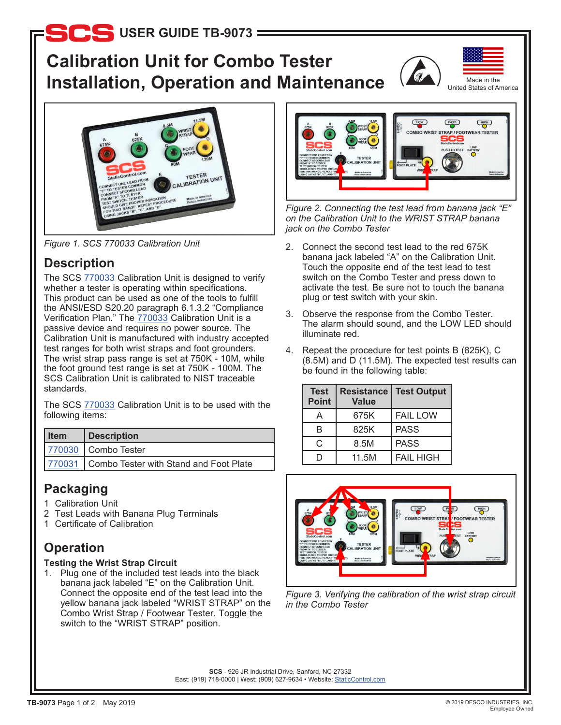# **b** USER GUIDE TB-9073

# **Calibration Unit for Combo Tester Installation, Operation and Maintenance**







## **Description**

The SCS [770033](http://staticcontrol.descoindustries.com/SCSCatalog/Wrist-Strap-and-Footwear-Testers/Combo-Tester/770033/) Calibration Unit is designed to verify whether a tester is operating within specifications. This product can be used as one of the tools to fulfill the ANSI/ESD S20.20 paragraph 6.1.3.2 "Compliance Verification Plan." The [770033](http://staticcontrol.descoindustries.com/SCSCatalog/Wrist-Strap-and-Footwear-Testers/Combo-Tester/770033/) Calibration Unit is a passive device and requires no power source. The Calibration Unit is manufactured with industry accepted test ranges for both wrist straps and foot grounders. The wrist strap pass range is set at 750K - 10M, while the foot ground test range is set at 750K - 100M. The SCS Calibration Unit is calibrated to NIST traceable standards.

The SCS [770033](http://staticcontrol.descoindustries.com/SCSCatalog/Wrist-Strap-and-Footwear-Testers/Combo-Tester/770033/) Calibration Unit is to be used with the following items:

| l Item | Description                                   |  |
|--------|-----------------------------------------------|--|
|        | 770030 Combo Tester                           |  |
|        | 770031 Combo Tester with Stand and Foot Plate |  |

## **Packaging**

- 1 Calibration Unit
- 2 Test Leads with Banana Plug Terminals
- 1 Certificate of Calibration

# **Operation**

### **Testing the Wrist Strap Circuit**

1. Plug one of the included test leads into the black banana jack labeled "E" on the Calibration Unit. Connect the opposite end of the test lead into the yellow banana jack labeled "WRIST STRAP" on the Combo Wrist Strap / Footwear Tester. Toggle the switch to the "WRIST STRAP" position.



*Figure 2. Connecting the test lead from banana jack "E" on the Calibration Unit to the WRIST STRAP banana jack on the Combo Tester*

- *Figure 1. SCS 770033 Calibration Unit* 2. Connect the second test lead to the red 675K banana jack labeled "A" on the Calibration Unit. Touch the opposite end of the test lead to test switch on the Combo Tester and press down to activate the test. Be sure not to touch the banana plug or test switch with your skin.
	- 3. Observe the response from the Combo Tester. The alarm should sound, and the LOW LED should illuminate red.
	- 4. Repeat the procedure for test points B (825K), C (8.5M) and D (11.5M). The expected test results can be found in the following table:

| <b>Test</b><br><b>Point</b> | <b>Resistance</b><br><b>Value</b> | <b>Test Output</b> |
|-----------------------------|-----------------------------------|--------------------|
| А                           | 675K                              | <b>FAIL LOW</b>    |
| B                           | 825K                              | <b>PASS</b>        |
| C                           | 8.5M                              | <b>PASS</b>        |
|                             | 11.5M                             | <b>FAIL HIGH</b>   |



*Figure 3. Verifying the calibration of the wrist strap circuit in the Combo Tester*

**SCS** - 926 JR Industrial Drive, Sanford, NC 27332 East: (919) 718-0000 | West: (909) 627-9634 • Website: [StaticControl.com](http://www.staticcontrol.com)